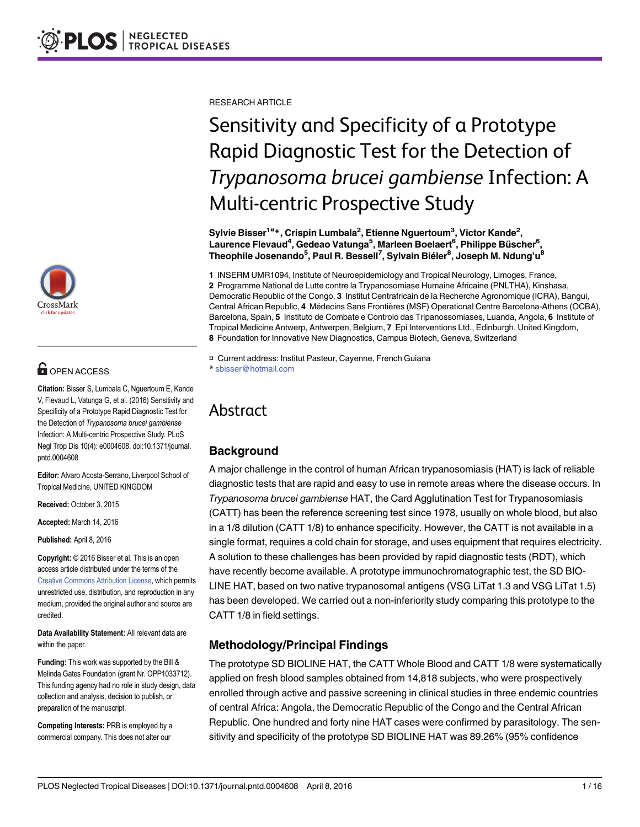

# **G** OPEN ACCESS

Citation: Bisser S, Lumbala C, Nguertoum E, Kande V, Flevaud L, Vatunga G, et al. (2016) Sensitivity and Specificity of a Prototype Rapid Diagnostic Test for the Detection of Trypanosoma brucei gambiense Infection: A Multi-centric Prospective Study. PLoS Negl Trop Dis 10(4): e0004608. doi:10.1371/journal. pntd.0004608

Editor: Alvaro Acosta-Serrano, Liverpool School of Tropical Medicine, UNITED KINGDOM

Received: October 3, 2015

Accepted: March 14, 2016

Published: April 8, 2016

Copyright: © 2016 Bisser et al. This is an open access article distributed under the terms of the [Creative Commons Attribution License,](http://creativecommons.org/licenses/by/4.0/) which permits unrestricted use, distribution, and reproduction in any medium, provided the original author and source are credited.

Data Availability Statement: All relevant data are within the paper.

Funding: This work was supported by the Bill & Melinda Gates Foundation (grant Nr. OPP1033712). This funding agency had no role in study design, data collection and analysis, decision to publish, or preparation of the manuscript.

Competing Interests: PRB is employed by a commercial company. This does not alter our

RESEARCH ARTICLE

# Sensitivity and Specificity of a Prototype Rapid Diagnostic Test for the Detection of Trypanosoma brucei gambiense Infection: A Multi-centric Prospective Study

Sylvie Bisser<sup>1¤</sup>\*, Crispin Lumbala<sup>2</sup>, Etienne Nguertoum<sup>3</sup>, Victor Kande<sup>2</sup>, Laurence Flevaud<sup>4</sup>, Gedeao Vatunga<sup>5</sup>, Marleen Boelaert<sup>6</sup>, Philippe Büscher<sup>6</sup>, Theophile Josenando<sup>5</sup>, Paul R. Bessell<sup>7</sup>, Sylvain Biéler<sup>8</sup>, Joseph M. Ndung'u<sup>8</sup>

1 INSERM UMR1094, Institute of Neuroepidemiology and Tropical Neurology, Limoges, France, 2 Programme National de Lutte contre la Trypanosomiase Humaine Africaine (PNLTHA), Kinshasa, Democratic Republic of the Congo, 3 Institut Centrafricain de la Recherche Agronomique (ICRA), Bangui, Central African Republic, 4 Médecins Sans Frontières (MSF) Operational Centre Barcelona-Athens (OCBA), Barcelona, Spain, 5 Instituto de Combate e Controlo das Tripanossomiases, Luanda, Angola, 6 Institute of Tropical Medicine Antwerp, Antwerpen, Belgium, 7 Epi Interventions Ltd., Edinburgh, United Kingdom, 8 Foundation for Innovative New Diagnostics, Campus Biotech, Geneva, Switzerland

¤ Current address: Institut Pasteur, Cayenne, French Guiana \* sbisser@hotmail.com

# Abstract

# **Background**

A major challenge in the control of human African trypanosomiasis (HAT) is lack of reliable diagnostic tests that are rapid and easy to use in remote areas where the disease occurs. In Trypanosoma brucei gambiense HAT, the Card Agglutination Test for Trypanosomiasis (CATT) has been the reference screening test since 1978, usually on whole blood, but also in a 1/8 dilution (CATT 1/8) to enhance specificity. However, the CATT is not available in a single format, requires a cold chain for storage, and uses equipment that requires electricity. A solution to these challenges has been provided by rapid diagnostic tests (RDT), which have recently become available. A prototype immunochromatographic test, the SD BIO-LINE HAT, based on two native trypanosomal antigens (VSG LiTat 1.3 and VSG LiTat 1.5) has been developed. We carried out a non-inferiority study comparing this prototype to the CATT 1/8 in field settings.

# Methodology/Principal Findings

The prototype SD BIOLINE HAT, the CATT Whole Blood and CATT 1/8 were systematically applied on fresh blood samples obtained from 14,818 subjects, who were prospectively enrolled through active and passive screening in clinical studies in three endemic countries of central Africa: Angola, the Democratic Republic of the Congo and the Central African Republic. One hundred and forty nine HAT cases were confirmed by parasitology. The sensitivity and specificity of the prototype SD BIOLINE HAT was 89.26% (95% confidence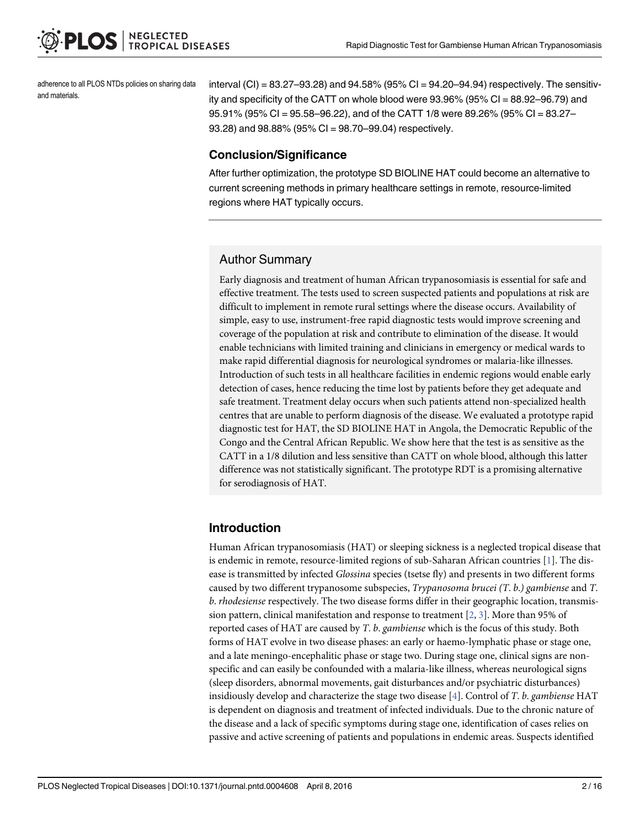<span id="page-1-0"></span>adherence to all PLOS NTDs policies on sharing data and materials.

interval (CI) = 83.27–93.28) and 94.58% (95% CI = 94.20–94.94) respectively. The sensitivity and specificity of the CATT on whole blood were 93.96% (95% CI = 88.92–96.79) and 95.91% (95% CI = 95.58–96.22), and of the CATT 1/8 were 89.26% (95% CI = 83.27– 93.28) and 98.88% (95% CI = 98.70–99.04) respectively.

#### Conclusion/Significance

After further optimization, the prototype SD BIOLINE HAT could become an alternative to current screening methods in primary healthcare settings in remote, resource-limited regions where HAT typically occurs.

#### Author Summary

Early diagnosis and treatment of human African trypanosomiasis is essential for safe and effective treatment. The tests used to screen suspected patients and populations at risk are difficult to implement in remote rural settings where the disease occurs. Availability of simple, easy to use, instrument-free rapid diagnostic tests would improve screening and coverage of the population at risk and contribute to elimination of the disease. It would enable technicians with limited training and clinicians in emergency or medical wards to make rapid differential diagnosis for neurological syndromes or malaria-like illnesses. Introduction of such tests in all healthcare facilities in endemic regions would enable early detection of cases, hence reducing the time lost by patients before they get adequate and safe treatment. Treatment delay occurs when such patients attend non-specialized health centres that are unable to perform diagnosis of the disease. We evaluated a prototype rapid diagnostic test for HAT, the SD BIOLINE HAT in Angola, the Democratic Republic of the Congo and the Central African Republic. We show here that the test is as sensitive as the CATT in a 1/8 dilution and less sensitive than CATT on whole blood, although this latter difference was not statistically significant. The prototype RDT is a promising alternative for serodiagnosis of HAT.

#### Introduction

Human African trypanosomiasis (HAT) or sleeping sickness is a neglected tropical disease that is endemic in remote, resource-limited regions of sub-Saharan African countries [\[1\]](#page-13-0). The disease is transmitted by infected Glossina species (tsetse fly) and presents in two different forms caused by two different trypanosome subspecies, Trypanosoma brucei (T. b.) gambiense and T. b. rhodesiense respectively. The two disease forms differ in their geographic location, transmission pattern, clinical manifestation and response to treatment  $[2, 3]$  $[2, 3]$  $[2, 3]$  $[2, 3]$ . More than 95% of reported cases of HAT are caused by T. b. gambiense which is the focus of this study. Both forms of HAT evolve in two disease phases: an early or haemo-lymphatic phase or stage one, and a late meningo-encephalitic phase or stage two. During stage one, clinical signs are nonspecific and can easily be confounded with a malaria-like illness, whereas neurological signs (sleep disorders, abnormal movements, gait disturbances and/or psychiatric disturbances) insidiously develop and characterize the stage two disease  $[4]$  $[4]$ . Control of T, b. gambiense HAT is dependent on diagnosis and treatment of infected individuals. Due to the chronic nature of the disease and a lack of specific symptoms during stage one, identification of cases relies on passive and active screening of patients and populations in endemic areas. Suspects identified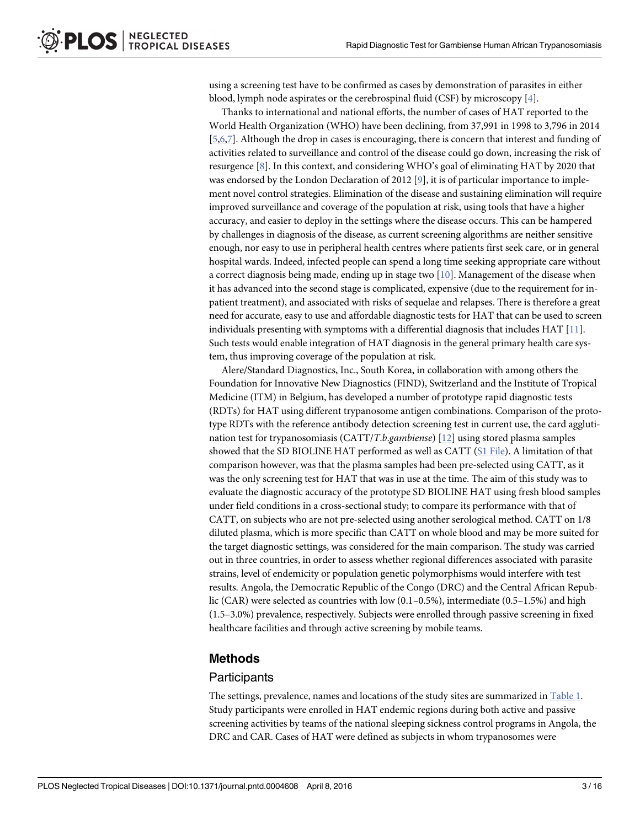<span id="page-2-0"></span>using a screening test have to be confirmed as cases by demonstration of parasites in either blood, lymph node aspirates or the cerebrospinal fluid (CSF) by microscopy [\[4](#page-13-0)].

Thanks to international and national efforts, the number of cases of HAT reported to the World Health Organization (WHO) have been declining, from 37,991 in 1998 to 3,796 in 2014 [\[5](#page-13-0)[,6,7](#page-14-0)]. Although the drop in cases is encouraging, there is concern that interest and funding of activities related to surveillance and control of the disease could go down, increasing the risk of resurgence [\[8](#page-14-0)]. In this context, and considering WHO's goal of eliminating HAT by 2020 that was endorsed by the London Declaration of 2012 [[9](#page-14-0)], it is of particular importance to implement novel control strategies. Elimination of the disease and sustaining elimination will require improved surveillance and coverage of the population at risk, using tools that have a higher accuracy, and easier to deploy in the settings where the disease occurs. This can be hampered by challenges in diagnosis of the disease, as current screening algorithms are neither sensitive enough, nor easy to use in peripheral health centres where patients first seek care, or in general hospital wards. Indeed, infected people can spend a long time seeking appropriate care without a correct diagnosis being made, ending up in stage two  $[10]$ . Management of the disease when it has advanced into the second stage is complicated, expensive (due to the requirement for inpatient treatment), and associated with risks of sequelae and relapses. There is therefore a great need for accurate, easy to use and affordable diagnostic tests for HAT that can be used to screen individuals presenting with symptoms with a differential diagnosis that includes HAT [[11](#page-14-0)]. Such tests would enable integration of HAT diagnosis in the general primary health care system, thus improving coverage of the population at risk.

Alere/Standard Diagnostics, Inc., South Korea, in collaboration with among others the Foundation for Innovative New Diagnostics (FIND), Switzerland and the Institute of Tropical Medicine (ITM) in Belgium, has developed a number of prototype rapid diagnostic tests (RDTs) for HAT using different trypanosome antigen combinations. Comparison of the prototype RDTs with the reference antibody detection screening test in current use, the card agglutination test for trypanosomiasis  $(CATT/T.b.$ *gambiense*) [[12](#page-14-0)] using stored plasma samples showed that the SD BIOLINE HAT performed as well as CATT ([S1 File](#page-13-0)). A limitation of that comparison however, was that the plasma samples had been pre-selected using CATT, as it was the only screening test for HAT that was in use at the time. The aim of this study was to evaluate the diagnostic accuracy of the prototype SD BIOLINE HAT using fresh blood samples under field conditions in a cross-sectional study; to compare its performance with that of CATT, on subjects who are not pre-selected using another serological method. CATT on 1/8 diluted plasma, which is more specific than CATT on whole blood and may be more suited for the target diagnostic settings, was considered for the main comparison. The study was carried out in three countries, in order to assess whether regional differences associated with parasite strains, level of endemicity or population genetic polymorphisms would interfere with test results. Angola, the Democratic Republic of the Congo (DRC) and the Central African Republic (CAR) were selected as countries with low (0.1–0.5%), intermediate (0.5–1.5%) and high (1.5–3.0%) prevalence, respectively. Subjects were enrolled through passive screening in fixed healthcare facilities and through active screening by mobile teams.

### Methods

#### Participants

The settings, prevalence, names and locations of the study sites are summarized in [Table 1.](#page-3-0) Study participants were enrolled in HAT endemic regions during both active and passive screening activities by teams of the national sleeping sickness control programs in Angola, the DRC and CAR. Cases of HAT were defined as subjects in whom trypanosomes were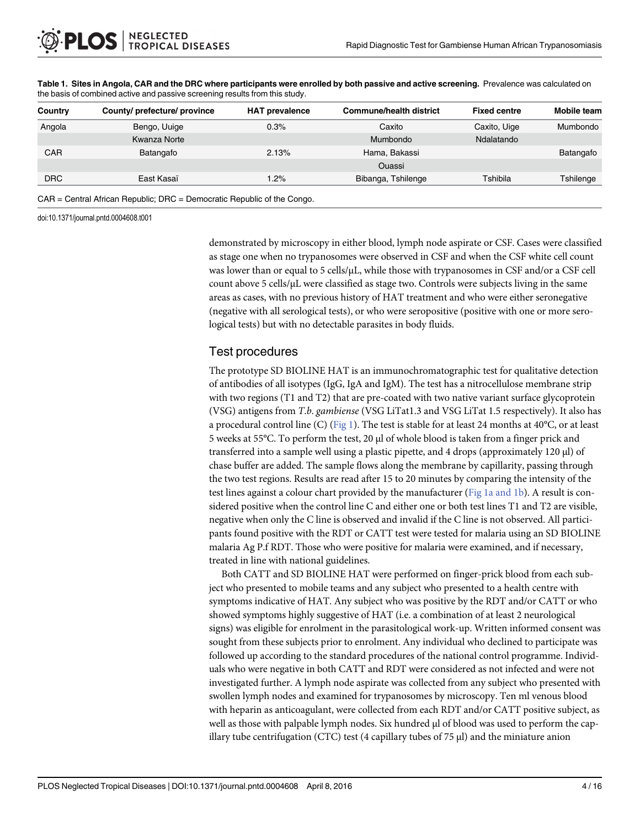| Country    | County/prefecture/province | <b>HAT prevalence</b> | <b>Commune/health district</b> | <b>Fixed centre</b> | Mobile team |
|------------|----------------------------|-----------------------|--------------------------------|---------------------|-------------|
| Angola     | Bengo, Uuige               | 0.3%                  | Caxito                         | Caxito, Uige        | Mumbondo    |
|            | Kwanza Norte               |                       | Mumbondo                       | Ndalatando          |             |
| <b>CAR</b> | Batangafo                  | 2.13%                 | Hama, Bakassi                  |                     | Batangafo   |
|            |                            |                       | <b>Ouassi</b>                  |                     |             |
| <b>DRC</b> | East Kasaï                 | $1.2\%$               | Bibanga, Tshilenge             | Tshibila            | Tshilenge   |
|            |                            |                       |                                |                     |             |

<span id="page-3-0"></span>[Table 1.](#page-2-0) Sites in Angola, CAR and the DRC where participants were enrolled by both passive and active screening. Prevalence was calculated on the basis of combined active and passive screening results from this study.

CAR = Central African Republic; DRC = Democratic Republic of the Congo.

doi:10.1371/journal.pntd.0004608.t001

demonstrated by microscopy in either blood, lymph node aspirate or CSF. Cases were classified as stage one when no trypanosomes were observed in CSF and when the CSF white cell count was lower than or equal to 5 cells/μL, while those with trypanosomes in CSF and/or a CSF cell count above 5 cells/μL were classified as stage two. Controls were subjects living in the same areas as cases, with no previous history of HAT treatment and who were either seronegative (negative with all serological tests), or who were seropositive (positive with one or more serological tests) but with no detectable parasites in body fluids.

#### Test procedures

The prototype SD BIOLINE HAT is an immunochromatographic test for qualitative detection of antibodies of all isotypes (IgG, IgA and IgM). The test has a nitrocellulose membrane strip with two regions (T1 and T2) that are pre-coated with two native variant surface glycoprotein (VSG) antigens from T.b. gambiense (VSG LiTat1.3 and VSG LiTat 1.5 respectively). It also has a procedural control line (C) ( $Fig 1$ ). The test is stable for at least 24 months at 40°C, or at least 5 weeks at 55°C. To perform the test, 20 μl of whole blood is taken from a finger prick and transferred into a sample well using a plastic pipette, and 4 drops (approximately 120 μl) of chase buffer are added. The sample flows along the membrane by capillarity, passing through the two test regions. Results are read after 15 to 20 minutes by comparing the intensity of the test lines against a colour chart provided by the manufacturer ( $Fig 1a$  and 1b). A result is considered positive when the control line C and either one or both test lines T1 and T2 are visible, negative when only the C line is observed and invalid if the C line is not observed. All participants found positive with the RDT or CATT test were tested for malaria using an SD BIOLINE malaria Ag P.f RDT. Those who were positive for malaria were examined, and if necessary, treated in line with national guidelines.

Both CATT and SD BIOLINE HAT were performed on finger-prick blood from each subject who presented to mobile teams and any subject who presented to a health centre with symptoms indicative of HAT. Any subject who was positive by the RDT and/or CATT or who showed symptoms highly suggestive of HAT (i.e. a combination of at least 2 neurological signs) was eligible for enrolment in the parasitological work-up. Written informed consent was sought from these subjects prior to enrolment. Any individual who declined to participate was followed up according to the standard procedures of the national control programme. Individuals who were negative in both CATT and RDT were considered as not infected and were not investigated further. A lymph node aspirate was collected from any subject who presented with swollen lymph nodes and examined for trypanosomes by microscopy. Ten ml venous blood with heparin as anticoagulant, were collected from each RDT and/or CATT positive subject, as well as those with palpable lymph nodes. Six hundred μl of blood was used to perform the capillary tube centrifugation (CTC) test (4 capillary tubes of 75 μl) and the miniature anion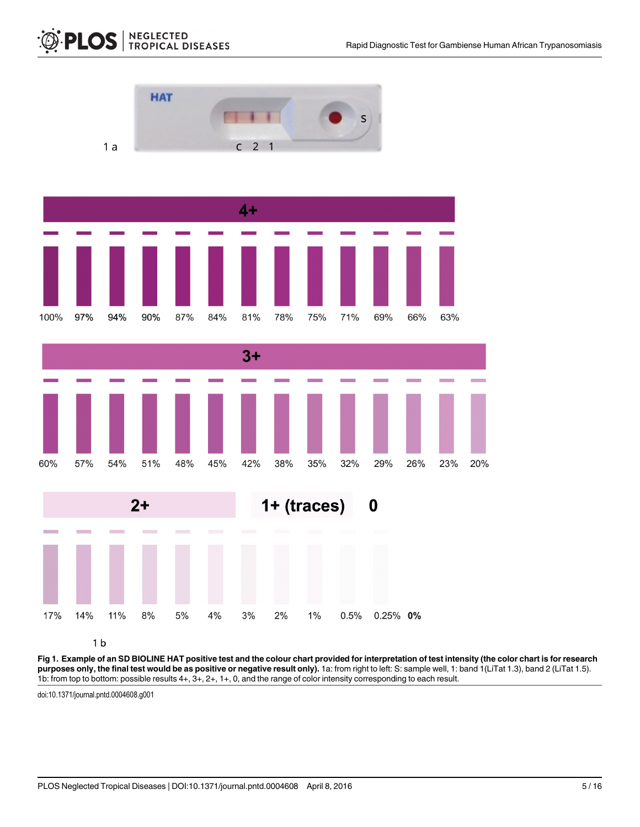

**NEGLECTED<br>TROPICAL DISEASES** 

<span id="page-4-0"></span>**PLOS** 

 $1<sub>b</sub>$ 

[Fig 1. E](#page-3-0)xample of an SD BIOLINE HAT positive test and the colour chart provided for interpretation of test intensity (the color chart is for research purposes only, the final test would be as positive or negative result only). 1a: from right to left: S: sample well, 1: band 1(LiTat 1.3), band 2 (LiTat 1.5). 1b: from top to bottom: possible results 4+, 3+, 2+, 1+, 0, and the range of color intensity corresponding to each result.

doi:10.1371/journal.pntd.0004608.g001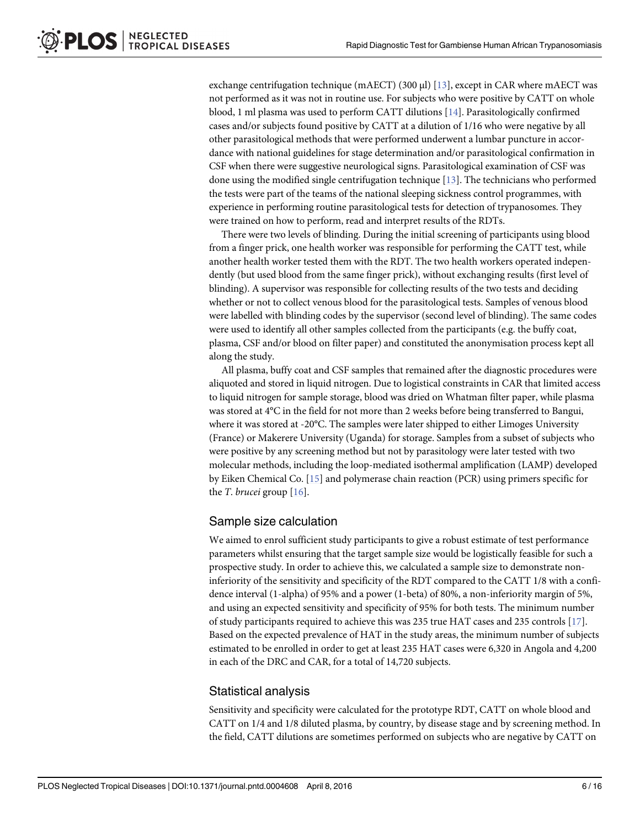<span id="page-5-0"></span>exchange centrifugation technique (mAECT) (300 μl) [\[13\]](#page-14-0), except in CAR where mAECT was not performed as it was not in routine use. For subjects who were positive by CATT on whole blood, 1 ml plasma was used to perform CATT dilutions  $[14]$  $[14]$  $[14]$ . Parasitologically confirmed cases and/or subjects found positive by CATT at a dilution of 1/16 who were negative by all other parasitological methods that were performed underwent a lumbar puncture in accordance with national guidelines for stage determination and/or parasitological confirmation in CSF when there were suggestive neurological signs. Parasitological examination of CSF was done using the modified single centrifugation technique [[13](#page-14-0)]. The technicians who performed the tests were part of the teams of the national sleeping sickness control programmes, with experience in performing routine parasitological tests for detection of trypanosomes. They were trained on how to perform, read and interpret results of the RDTs.

There were two levels of blinding. During the initial screening of participants using blood from a finger prick, one health worker was responsible for performing the CATT test, while another health worker tested them with the RDT. The two health workers operated independently (but used blood from the same finger prick), without exchanging results (first level of blinding). A supervisor was responsible for collecting results of the two tests and deciding whether or not to collect venous blood for the parasitological tests. Samples of venous blood were labelled with blinding codes by the supervisor (second level of blinding). The same codes were used to identify all other samples collected from the participants (e.g. the buffy coat, plasma, CSF and/or blood on filter paper) and constituted the anonymisation process kept all along the study.

All plasma, buffy coat and CSF samples that remained after the diagnostic procedures were aliquoted and stored in liquid nitrogen. Due to logistical constraints in CAR that limited access to liquid nitrogen for sample storage, blood was dried on Whatman filter paper, while plasma was stored at 4°C in the field for not more than 2 weeks before being transferred to Bangui, where it was stored at -20°C. The samples were later shipped to either Limoges University (France) or Makerere University (Uganda) for storage. Samples from a subset of subjects who were positive by any screening method but not by parasitology were later tested with two molecular methods, including the loop-mediated isothermal amplification (LAMP) developed by Eiken Chemical Co. [\[15\]](#page-14-0) and polymerase chain reaction (PCR) using primers specific for the *T*. brucei group  $[16]$  $[16]$  $[16]$ .

#### Sample size calculation

We aimed to enrol sufficient study participants to give a robust estimate of test performance parameters whilst ensuring that the target sample size would be logistically feasible for such a prospective study. In order to achieve this, we calculated a sample size to demonstrate noninferiority of the sensitivity and specificity of the RDT compared to the CATT 1/8 with a confidence interval (1-alpha) of 95% and a power (1-beta) of 80%, a non-inferiority margin of 5%, and using an expected sensitivity and specificity of 95% for both tests. The minimum number of study participants required to achieve this was 235 true HAT cases and 235 controls [[17\]](#page-14-0). Based on the expected prevalence of HAT in the study areas, the minimum number of subjects estimated to be enrolled in order to get at least 235 HAT cases were 6,320 in Angola and 4,200 in each of the DRC and CAR, for a total of 14,720 subjects.

#### Statistical analysis

Sensitivity and specificity were calculated for the prototype RDT, CATT on whole blood and CATT on 1/4 and 1/8 diluted plasma, by country, by disease stage and by screening method. In the field, CATT dilutions are sometimes performed on subjects who are negative by CATT on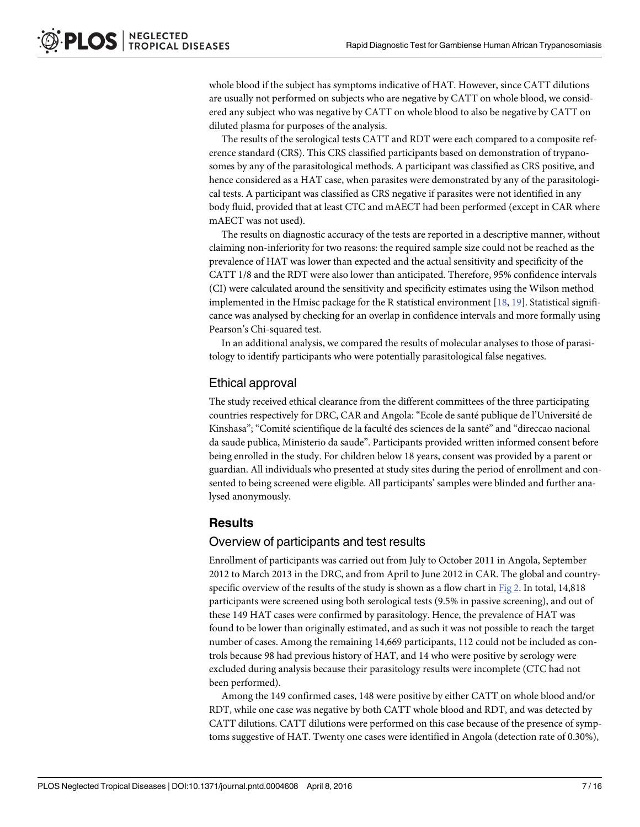<span id="page-6-0"></span>whole blood if the subject has symptoms indicative of HAT. However, since CATT dilutions are usually not performed on subjects who are negative by CATT on whole blood, we considered any subject who was negative by CATT on whole blood to also be negative by CATT on diluted plasma for purposes of the analysis.

The results of the serological tests CATT and RDT were each compared to a composite reference standard (CRS). This CRS classified participants based on demonstration of trypanosomes by any of the parasitological methods. A participant was classified as CRS positive, and hence considered as a HAT case, when parasites were demonstrated by any of the parasitological tests. A participant was classified as CRS negative if parasites were not identified in any body fluid, provided that at least CTC and mAECT had been performed (except in CAR where mAECT was not used).

The results on diagnostic accuracy of the tests are reported in a descriptive manner, without claiming non-inferiority for two reasons: the required sample size could not be reached as the prevalence of HAT was lower than expected and the actual sensitivity and specificity of the CATT 1/8 and the RDT were also lower than anticipated. Therefore, 95% confidence intervals (CI) were calculated around the sensitivity and specificity estimates using the Wilson method implemented in the Hmisc package for the R statistical environment [[18](#page-14-0), [19](#page-14-0)]. Statistical significance was analysed by checking for an overlap in confidence intervals and more formally using Pearson's Chi-squared test.

In an additional analysis, we compared the results of molecular analyses to those of parasitology to identify participants who were potentially parasitological false negatives.

#### Ethical approval

The study received ethical clearance from the different committees of the three participating countries respectively for DRC, CAR and Angola: "Ecole de santé publique de l'Université de Kinshasa"; "Comité scientifique de la faculté des sciences de la santé" and "direccao nacional da saude publica, Ministerio da saude". Participants provided written informed consent before being enrolled in the study. For children below 18 years, consent was provided by a parent or guardian. All individuals who presented at study sites during the period of enrollment and consented to being screened were eligible. All participants' samples were blinded and further analysed anonymously.

#### **Results**

#### Overview of participants and test results

Enrollment of participants was carried out from July to October 2011 in Angola, September 2012 to March 2013 in the DRC, and from April to June 2012 in CAR. The global and countryspecific overview of the results of the study is shown as a flow chart in [Fig 2.](#page-7-0) In total, 14,818 participants were screened using both serological tests (9.5% in passive screening), and out of these 149 HAT cases were confirmed by parasitology. Hence, the prevalence of HAT was found to be lower than originally estimated, and as such it was not possible to reach the target number of cases. Among the remaining 14,669 participants, 112 could not be included as controls because 98 had previous history of HAT, and 14 who were positive by serology were excluded during analysis because their parasitology results were incomplete (CTC had not been performed).

Among the 149 confirmed cases, 148 were positive by either CATT on whole blood and/or RDT, while one case was negative by both CATT whole blood and RDT, and was detected by CATT dilutions. CATT dilutions were performed on this case because of the presence of symptoms suggestive of HAT. Twenty one cases were identified in Angola (detection rate of 0.30%),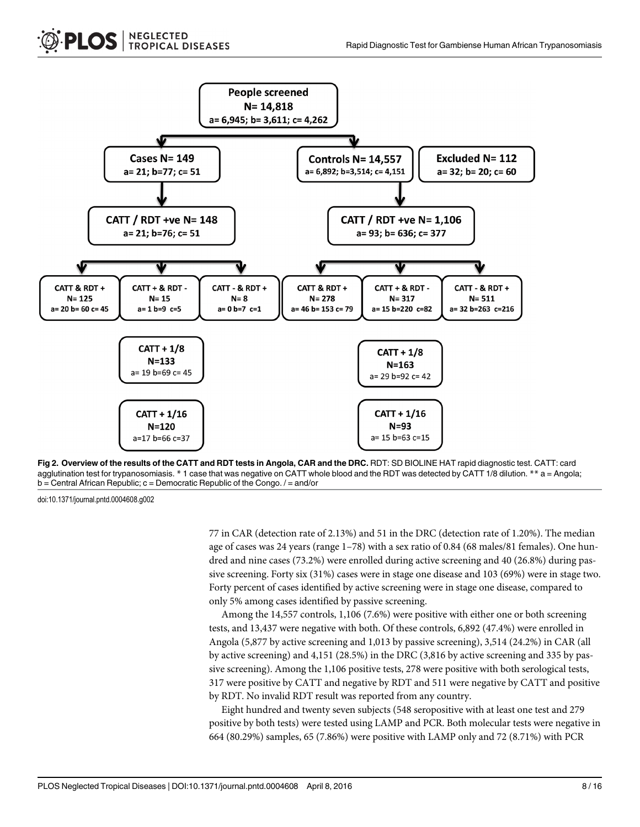<span id="page-7-0"></span>

[Fig 2. O](#page-6-0)verview of the results of the CATT and RDT tests in Angola, CAR and the DRC. RDT: SD BIOLINE HAT rapid diagnostic test. CATT: card agglutination test for trypanosomiasis. \* 1 case that was negative on CATT whole blood and the RDT was detected by CATT 1/8 dilution. \*\* a = Angola; b = Central African Republic; c = Democratic Republic of the Congo. / = and/or

doi:10.1371/journal.pntd.0004608.g002

77 in CAR (detection rate of 2.13%) and 51 in the DRC (detection rate of 1.20%). The median age of cases was 24 years (range 1–78) with a sex ratio of 0.84 (68 males/81 females). One hundred and nine cases (73.2%) were enrolled during active screening and 40 (26.8%) during passive screening. Forty six (31%) cases were in stage one disease and 103 (69%) were in stage two. Forty percent of cases identified by active screening were in stage one disease, compared to only 5% among cases identified by passive screening.

Among the 14,557 controls, 1,106 (7.6%) were positive with either one or both screening tests, and 13,437 were negative with both. Of these controls, 6,892 (47.4%) were enrolled in Angola (5,877 by active screening and 1,013 by passive screening), 3,514 (24.2%) in CAR (all by active screening) and 4,151 (28.5%) in the DRC (3,816 by active screening and 335 by passive screening). Among the 1,106 positive tests, 278 were positive with both serological tests, 317 were positive by CATT and negative by RDT and 511 were negative by CATT and positive by RDT. No invalid RDT result was reported from any country.

Eight hundred and twenty seven subjects (548 seropositive with at least one test and 279 positive by both tests) were tested using LAMP and PCR. Both molecular tests were negative in 664 (80.29%) samples, 65 (7.86%) were positive with LAMP only and 72 (8.71%) with PCR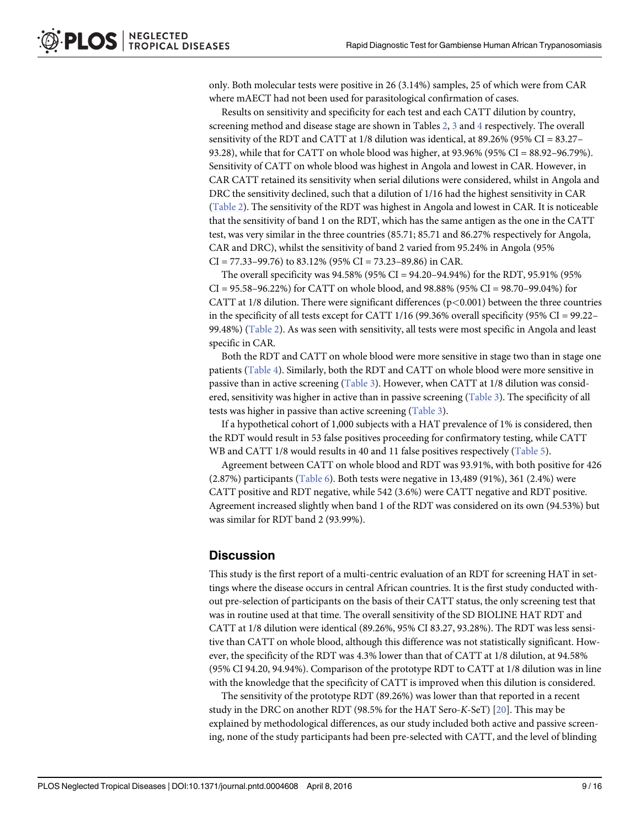<span id="page-8-0"></span>only. Both molecular tests were positive in 26 (3.14%) samples, 25 of which were from CAR where mAECT had not been used for parasitological confirmation of cases.

Results on sensitivity and specificity for each test and each CATT dilution by country, screening method and disease stage are shown in Tables  $2, 3$  $2, 3$  $2, 3$  and  $4$  respectively. The overall sensitivity of the RDT and CATT at 1/8 dilution was identical, at 89.26% (95% CI = 83.27– 93.28), while that for CATT on whole blood was higher, at 93.96% (95% CI = 88.92–96.79%). Sensitivity of CATT on whole blood was highest in Angola and lowest in CAR. However, in CAR CATT retained its sensitivity when serial dilutions were considered, whilst in Angola and DRC the sensitivity declined, such that a dilution of 1/16 had the highest sensitivity in CAR [\(Table 2\)](#page-9-0). The sensitivity of the RDT was highest in Angola and lowest in CAR. It is noticeable that the sensitivity of band 1 on the RDT, which has the same antigen as the one in the CATT test, was very similar in the three countries (85.71; 85.71 and 86.27% respectively for Angola, CAR and DRC), whilst the sensitivity of band 2 varied from 95.24% in Angola (95%  $CI = 77.33 - 99.76$  to 83.12% (95%  $CI = 73.23 - 89.86$ ) in CAR.

The overall specificity was  $94.58\%$  ( $95\%$  CI =  $94.20-94.94\%$ ) for the RDT,  $95.91\%$  ( $95\%$  $CI = 95.58 - 96.22\%)$  for CATT on whole blood, and 98.88% (95% CI = 98.70–99.04%) for CATT at 1/8 dilution. There were significant differences ( $p<0.001$ ) between the three countries in the specificity of all tests except for CATT 1/16 (99.36% overall specificity (95% CI = 99.22– 99.48%) ([Table 2](#page-9-0)). As was seen with sensitivity, all tests were most specific in Angola and least specific in CAR.

Both the RDT and CATT on whole blood were more sensitive in stage two than in stage one patients [\(Table 4](#page-11-0)). Similarly, both the RDT and CATT on whole blood were more sensitive in passive than in active screening ([Table 3\)](#page-10-0). However, when CATT at 1/8 dilution was considered, sensitivity was higher in active than in passive screening [\(Table 3\)](#page-10-0). The specificity of all tests was higher in passive than active screening [\(Table 3](#page-10-0)).

If a hypothetical cohort of 1,000 subjects with a HAT prevalence of 1% is considered, then the RDT would result in 53 false positives proceeding for confirmatory testing, while CATT WB and CATT 1/8 would results in 40 and 11 false positives respectively ([Table 5\)](#page-11-0).

Agreement between CATT on whole blood and RDT was 93.91%, with both positive for 426  $(2.87%)$  participants [\(Table 6](#page-12-0)). Both tests were negative in 13,489 (91%), 361 (2.4%) were CATT positive and RDT negative, while 542 (3.6%) were CATT negative and RDT positive. Agreement increased slightly when band 1 of the RDT was considered on its own (94.53%) but was similar for RDT band 2 (93.99%).

#### **Discussion**

This study is the first report of a multi-centric evaluation of an RDT for screening HAT in settings where the disease occurs in central African countries. It is the first study conducted without pre-selection of participants on the basis of their CATT status, the only screening test that was in routine used at that time. The overall sensitivity of the SD BIOLINE HAT RDT and CATT at 1/8 dilution were identical (89.26%, 95% CI 83.27, 93.28%). The RDT was less sensitive than CATT on whole blood, although this difference was not statistically significant. However, the specificity of the RDT was 4.3% lower than that of CATT at 1/8 dilution, at 94.58% (95% CI 94.20, 94.94%). Comparison of the prototype RDT to CATT at 1/8 dilution was in line with the knowledge that the specificity of CATT is improved when this dilution is considered.

The sensitivity of the prototype RDT (89.26%) was lower than that reported in a recent study in the DRC on another RDT (98.5% for the HAT Sero-K-SeT) [[20](#page-14-0)]. This may be explained by methodological differences, as our study included both active and passive screening, none of the study participants had been pre-selected with CATT, and the level of blinding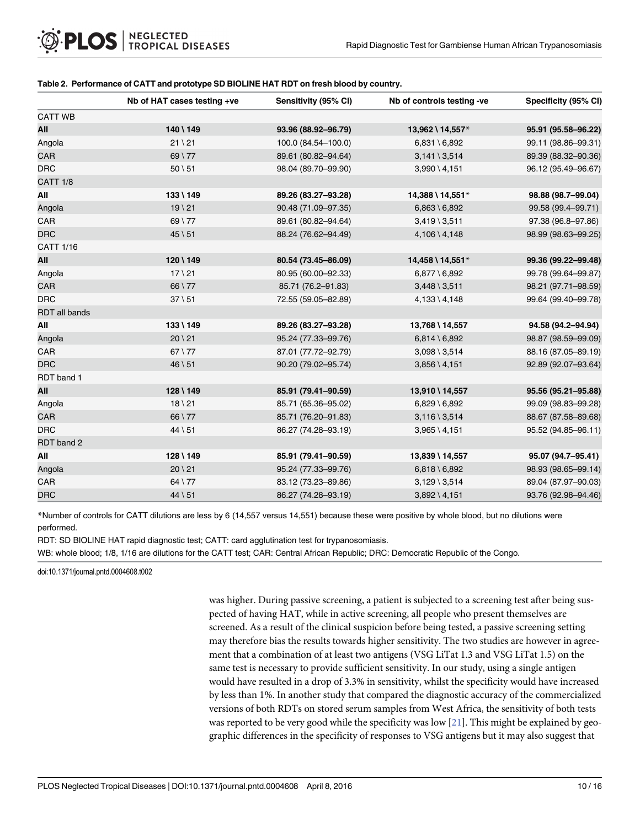#### <span id="page-9-0"></span>[Table 2.](#page-8-0) Performance of CATT and prototype SD BIOLINE HAT RDT on fresh blood by country.

|                      | Nb of HAT cases testing +ve | Sensitivity (95% CI) | Nb of controls testing -ve | Specificity (95% CI) |
|----------------------|-----------------------------|----------------------|----------------------------|----------------------|
| <b>CATT WB</b>       |                             |                      |                            |                      |
| All                  | 140 \ 149                   | 93.96 (88.92-96.79)  | 13,962 \ 14,557*           | 95.91 (95.58-96.22)  |
| Angola               | $21 \setminus 21$           | 100.0 (84.54-100.0)  | $6,831 \setminus 6,892$    | 99.11 (98.86-99.31)  |
| CAR                  | $69 \mid 77$                | 89.61 (80.82-94.64)  | $3,141 \setminus 3,514$    | 89.39 (88.32-90.36)  |
| <b>DRC</b>           | $50 \setminus 51$           | 98.04 (89.70-99.90)  | $3,990 \setminus 4,151$    | 96.12 (95.49-96.67)  |
| <b>CATT 1/8</b>      |                             |                      |                            |                      |
| All                  | 133 \ 149                   | 89.26 (83.27-93.28)  | 14,388 \ 14,551*           | 98.88 (98.7-99.04)   |
| Angola               | $19 \mid 21$                | 90.48 (71.09-97.35)  | $6,863 \setminus 6,892$    | 99.58 (99.4-99.71)   |
| CAR                  | 69 \ 77                     | 89.61 (80.82-94.64)  | $3,419 \setminus 3,511$    | 97.38 (96.8-97.86)   |
| <b>DRC</b>           | $45 \, \backslash \, 51$    | 88.24 (76.62-94.49)  | $4,106 \setminus 4,148$    | 98.99 (98.63-99.25)  |
| <b>CATT 1/16</b>     |                             |                      |                            |                      |
| All                  | 120 \ 149                   | 80.54 (73.45-86.09)  | 14,458 \ 14,551*           | 99.36 (99.22-99.48)  |
| Angola               | $17 \vee 21$                | 80.95 (60.00-92.33)  | $6,877 \setminus 6,892$    | 99.78 (99.64-99.87)  |
| CAR                  | $66 \mid 77$                | 85.71 (76.2-91.83)   | $3,448 \setminus 3,511$    | 98.21 (97.71-98.59)  |
| <b>DRC</b>           | $37 \setminus 51$           | 72.55 (59.05-82.89)  | $4,133 \ (4,148)$          | 99.64 (99.40-99.78)  |
| <b>RDT</b> all bands |                             |                      |                            |                      |
| All                  | 133 \ 149                   | 89.26 (83.27-93.28)  | 13,768 \ 14,557            | 94.58 (94.2-94.94)   |
| Angola               | $20 \setminus 21$           | 95.24 (77.33-99.76)  | $6,814 \setminus 6,892$    | 98.87 (98.59-99.09)  |
| CAR                  | $67 \mid 77$                | 87.01 (77.72-92.79)  | $3,098 \setminus 3,514$    | 88.16 (87.05-89.19)  |
| <b>DRC</b>           | $46 \setminus 51$           | 90.20 (79.02-95.74)  | $3,856 \setminus 4,151$    | 92.89 (92.07-93.64)  |
| RDT band 1           |                             |                      |                            |                      |
| All                  | 128 \ 149                   | 85.91 (79.41-90.59)  | 13,910 \ 14,557            | 95.56 (95.21-95.88)  |
| Angola               | $18 \mid 21$                | 85.71 (65.36-95.02)  | $6,829 \setminus 6,892$    | 99.09 (98.83-99.28)  |
| CAR                  | 66 \ 77                     | 85.71 (76.20-91.83)  | $3,116 \setminus 3,514$    | 88.67 (87.58-89.68)  |
| <b>DRC</b>           | $44 \mid 51$                | 86.27 (74.28-93.19)  | $3,965 \setminus 4,151$    | 95.52 (94.85-96.11)  |
| RDT band 2           |                             |                      |                            |                      |
| All                  | 128 \ 149                   | 85.91 (79.41-90.59)  | 13,839 \ 14,557            | 95.07 (94.7-95.41)   |
| Angola               | $20 \setminus 21$           | 95.24 (77.33-99.76)  | $6,818 \setminus 6,892$    | 98.93 (98.65-99.14)  |
| CAR                  | $64 \mid 77$                | 83.12 (73.23-89.86)  | $3,129 \setminus 3,514$    | 89.04 (87.97-90.03)  |
| <b>DRC</b>           | $44 \mid 51$                | 86.27 (74.28-93.19)  | $3,892 \setminus 4,151$    | 93.76 (92.98-94.46)  |

\*Number of controls for CATT dilutions are less by 6 (14,557 versus 14,551) because these were positive by whole blood, but no dilutions were performed.

RDT: SD BIOLINE HAT rapid diagnostic test; CATT: card agglutination test for trypanosomiasis.

WB: whole blood; 1/8, 1/16 are dilutions for the CATT test; CAR: Central African Republic; DRC: Democratic Republic of the Congo.

doi:10.1371/journal.pntd.0004608.t002

was higher. During passive screening, a patient is subjected to a screening test after being suspected of having HAT, while in active screening, all people who present themselves are screened. As a result of the clinical suspicion before being tested, a passive screening setting may therefore bias the results towards higher sensitivity. The two studies are however in agreement that a combination of at least two antigens (VSG LiTat 1.3 and VSG LiTat 1.5) on the same test is necessary to provide sufficient sensitivity. In our study, using a single antigen would have resulted in a drop of 3.3% in sensitivity, whilst the specificity would have increased by less than 1%. In another study that compared the diagnostic accuracy of the commercialized versions of both RDTs on stored serum samples from West Africa, the sensitivity of both tests was reported to be very good while the specificity was low [\[21\]](#page-14-0). This might be explained by geographic differences in the specificity of responses to VSG antigens but it may also suggest that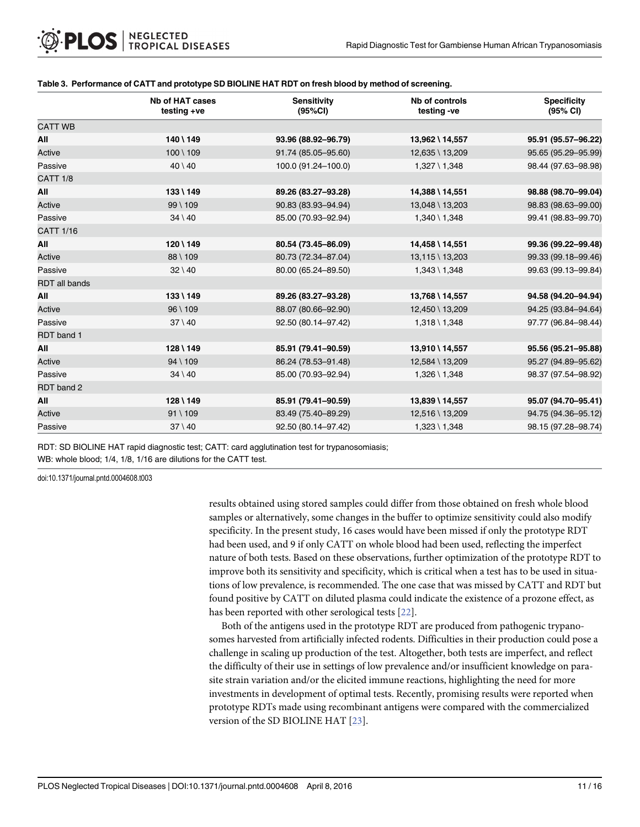|                      | <b>Nb of HAT cases</b><br>testing +ve | <b>Sensitivity</b><br>(95%CI) | Nb of controls<br>testing -ve | <b>Specificity</b><br>(95% CI) |
|----------------------|---------------------------------------|-------------------------------|-------------------------------|--------------------------------|
| <b>CATT WB</b>       |                                       |                               |                               |                                |
| All                  | 140 \ 149                             | 93.96 (88.92-96.79)           | 13,962 \ 14,557               | 95.91 (95.57-96.22)            |
| Active               | $100 \setminus 109$                   | 91.74 (85.05-95.60)           | 12,635 \ 13,209               | 95.65 (95.29-95.99)            |
| Passive              | $40 \setminus 40$                     | 100.0 (91.24-100.0)           | $1,327 \setminus 1,348$       | 98.44 (97.63-98.98)            |
| <b>CATT 1/8</b>      |                                       |                               |                               |                                |
| All                  | 133 \ 149                             | 89.26 (83.27-93.28)           | 14,388 \ 14,551               | 98.88 (98.70-99.04)            |
| Active               | $99 \mid 109$                         | 90.83 (83.93-94.94)           | 13,048 \ 13,203               | 98.83 (98.63-99.00)            |
| Passive              | $34 \setminus 40$                     | 85.00 (70.93-92.94)           | $1,340 \setminus 1,348$       | 99.41 (98.83-99.70)            |
| <b>CATT 1/16</b>     |                                       |                               |                               |                                |
| All                  | 120 \ 149                             | 80.54 (73.45-86.09)           | 14,458 \ 14,551               | 99.36 (99.22-99.48)            |
| Active               | 88 \ 109                              | 80.73 (72.34-87.04)           | 13,115 \ 13,203               | 99.33 (99.18-99.46)            |
| Passive              | $32 \mid 40$                          | 80.00 (65.24-89.50)           | $1,343 \mid 1,348$            | 99.63 (99.13-99.84)            |
| <b>RDT</b> all bands |                                       |                               |                               |                                |
| All                  | $133 \mid 149$                        | 89.26 (83.27-93.28)           | 13,768 \ 14,557               | 94.58 (94.20-94.94)            |
| Active               | $96 \mid 109$                         | 88.07 (80.66-92.90)           | 12,450 \ 13,209               | 94.25 (93.84-94.64)            |
| Passive              | $37 \setminus 40$                     | 92.50 (80.14-97.42)           | $1,318 \setminus 1,348$       | 97.77 (96.84-98.44)            |
| RDT band 1           |                                       |                               |                               |                                |
| All                  | $128 \setminus 149$                   | 85.91 (79.41-90.59)           | 13,910 \ 14,557               | 95.56 (95.21-95.88)            |
| Active               | $94 \setminus 109$                    | 86.24 (78.53-91.48)           | 12,584 \ 13,209               | 95.27 (94.89-95.62)            |
| Passive              | $34 \setminus 40$                     | 85.00 (70.93-92.94)           | $1,326$ \ $1,348$             | 98.37 (97.54-98.92)            |
| RDT band 2           |                                       |                               |                               |                                |
| All                  | $128 \setminus 149$                   | 85.91 (79.41-90.59)           | 13,839 \ 14,557               | 95.07 (94.70-95.41)            |
| Active               | $91 \setminus 109$                    | 83.49 (75.40-89.29)           | 12,516 \ 13,209               | 94.75 (94.36-95.12)            |
| Passive              | $37 \setminus 40$                     | 92.50 (80.14-97.42)           | $1,323 \mid 1,348$            | 98.15 (97.28-98.74)            |

#### <span id="page-10-0"></span>[Table 3.](#page-8-0) Performance of CATT and prototype SD BIOLINE HAT RDT on fresh blood by method of screening.

RDT: SD BIOLINE HAT rapid diagnostic test; CATT: card agglutination test for trypanosomiasis;

WB: whole blood; 1/4, 1/8, 1/16 are dilutions for the CATT test.

doi:10.1371/journal.pntd.0004608.t003

results obtained using stored samples could differ from those obtained on fresh whole blood samples or alternatively, some changes in the buffer to optimize sensitivity could also modify specificity. In the present study, 16 cases would have been missed if only the prototype RDT had been used, and 9 if only CATT on whole blood had been used, reflecting the imperfect nature of both tests. Based on these observations, further optimization of the prototype RDT to improve both its sensitivity and specificity, which is critical when a test has to be used in situations of low prevalence, is recommended. The one case that was missed by CATT and RDT but found positive by CATT on diluted plasma could indicate the existence of a prozone effect, as has been reported with other serological tests [[22](#page-14-0)].

Both of the antigens used in the prototype RDT are produced from pathogenic trypanosomes harvested from artificially infected rodents. Difficulties in their production could pose a challenge in scaling up production of the test. Altogether, both tests are imperfect, and reflect the difficulty of their use in settings of low prevalence and/or insufficient knowledge on parasite strain variation and/or the elicited immune reactions, highlighting the need for more investments in development of optimal tests. Recently, promising results were reported when prototype RDTs made using recombinant antigens were compared with the commercialized version of the SD BIOLINE HAT [\[23\]](#page-14-0).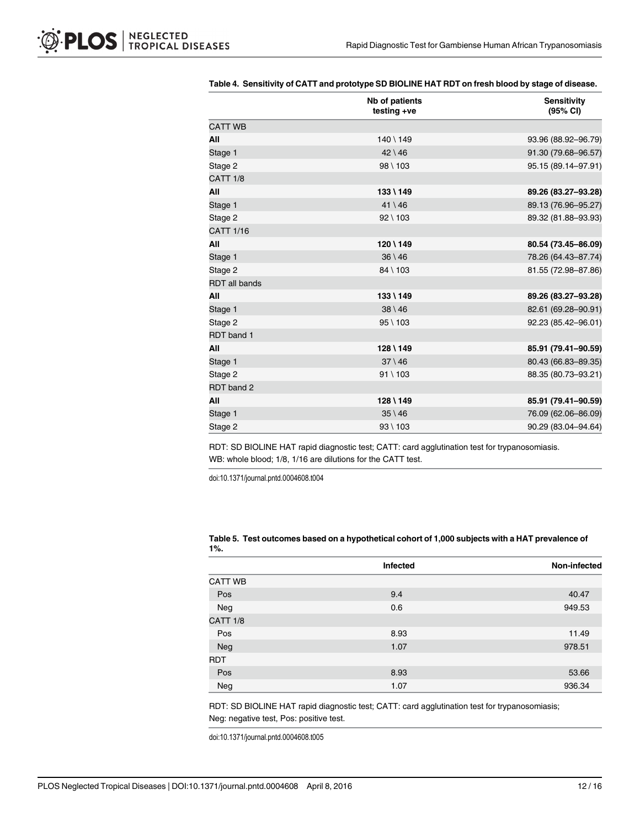|                      | Nb of patients<br>testing +ve | <b>Sensitivity</b><br>(95% CI) |
|----------------------|-------------------------------|--------------------------------|
| <b>CATT WB</b>       |                               |                                |
| All                  | $140 \setminus 149$           | 93.96 (88.92-96.79)            |
| Stage 1              | $42 \setminus 46$             | 91.30 (79.68-96.57)            |
| Stage 2              | 98 \ 103                      | 95.15 (89.14-97.91)            |
| <b>CATT 1/8</b>      |                               |                                |
| All                  | $133 \mid 149$                | 89.26 (83.27-93.28)            |
| Stage 1              | $41 \setminus 46$             | 89.13 (76.96-95.27)            |
| Stage 2              | $92 \mid 103$                 | 89.32 (81.88-93.93)            |
| <b>CATT 1/16</b>     |                               |                                |
| All                  | $120 \setminus 149$           | 80.54 (73.45-86.09)            |
| Stage 1              | $36 \setminus 46$             | 78.26 (64.43-87.74)            |
| Stage 2              | 84 \ 103                      | 81.55 (72.98-87.86)            |
| <b>RDT</b> all bands |                               |                                |
| All                  | 133 \ 149                     | 89.26 (83.27-93.28)            |
| Stage 1              | $38 \setminus 46$             | 82.61 (69.28-90.91)            |
| Stage 2              | $95 \mid 103$                 | 92.23 (85.42-96.01)            |
| RDT band 1           |                               |                                |
| All                  | $128 \setminus 149$           | 85.91 (79.41-90.59)            |
| Stage 1              | $37 \setminus 46$             | 80.43 (66.83-89.35)            |
| Stage 2              | $91 \setminus 103$            | 88.35 (80.73-93.21)            |
| RDT band 2           |                               |                                |
| All                  | 128 \ 149                     | 85.91 (79.41-90.59)            |
| Stage 1              | $35 \setminus 46$             | 76.09 (62.06-86.09)            |
| Stage 2              | $93 \mid 103$                 | 90.29 (83.04-94.64)            |

#### <span id="page-11-0"></span>[Table 4.](#page-8-0) Sensitivity of CATT and prototype SD BIOLINE HAT RDT on fresh blood by stage of disease.

RDT: SD BIOLINE HAT rapid diagnostic test; CATT: card agglutination test for trypanosomiasis. WB: whole blood; 1/8, 1/16 are dilutions for the CATT test.

doi:10.1371/journal.pntd.0004608.t004

| - - - -         |                 |              |
|-----------------|-----------------|--------------|
|                 | <b>Infected</b> | Non-infected |
| <b>CATT WB</b>  |                 |              |
| Pos             | 9.4             | 40.47        |
| Neg             | 0.6             | 949.53       |
| <b>CATT 1/8</b> |                 |              |
| Pos             | 8.93            | 11.49        |
| Neg             | 1.07            | 978.51       |
| <b>RDT</b>      |                 |              |
| Pos             | 8.93            | 53.66        |
| Neg             | 1.07            | 936.34       |

#### [Table 5.](#page-8-0) Test outcomes based on a hypothetical cohort of 1,000 subjects with a HAT prevalence of 1%.

RDT: SD BIOLINE HAT rapid diagnostic test; CATT: card agglutination test for trypanosomiasis; Neg: negative test, Pos: positive test.

doi:10.1371/journal.pntd.0004608.t005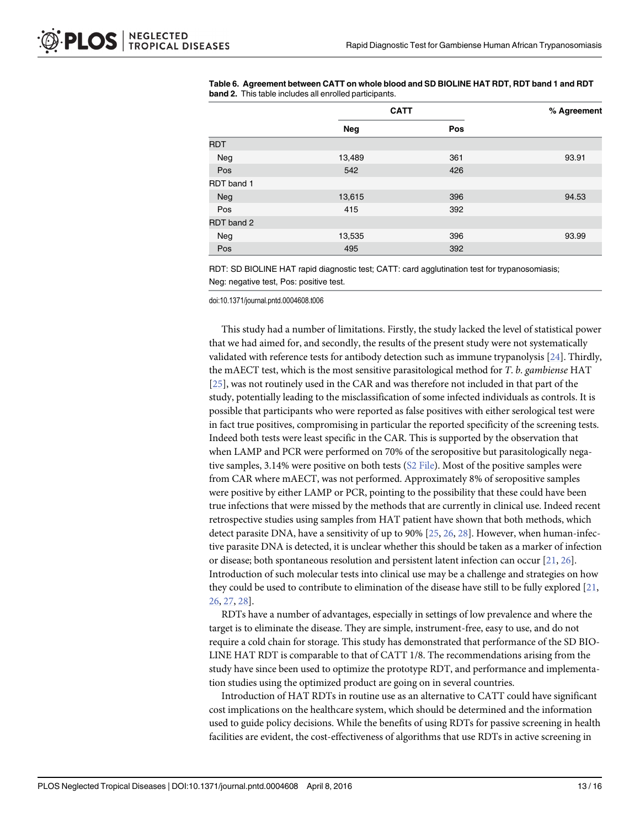|            | <b>CATT</b> |     | % Agreement |
|------------|-------------|-----|-------------|
|            | Neg         | Pos |             |
| <b>RDT</b> |             |     |             |
| Neg        | 13,489      | 361 | 93.91       |
| Pos        | 542         | 426 |             |
| RDT band 1 |             |     |             |
| Neg        | 13,615      | 396 | 94.53       |
| Pos        | 415         | 392 |             |
| RDT band 2 |             |     |             |
| Neg        | 13,535      | 396 | 93.99       |
| Pos        | 495         | 392 |             |

<span id="page-12-0"></span>

|                                                               | Table 6. Agreement between CATT on whole blood and SD BIOLINE HAT RDT, RDT band 1 and RDT |  |
|---------------------------------------------------------------|-------------------------------------------------------------------------------------------|--|
| <b>band 2.</b> This table includes all enrolled participants. |                                                                                           |  |

RDT: SD BIOLINE HAT rapid diagnostic test; CATT: card agglutination test for trypanosomiasis; Neg: negative test, Pos: positive test.

doi:10.1371/journal.pntd.0004608.t006

This study had a number of limitations. Firstly, the study lacked the level of statistical power that we had aimed for, and secondly, the results of the present study were not systematically validated with reference tests for antibody detection such as immune trypanolysis  $[24]$  $[24]$ . Thirdly, the mAECT test, which is the most sensitive parasitological method for T. b. gambiense HAT [\[25](#page-14-0)], was not routinely used in the CAR and was therefore not included in that part of the study, potentially leading to the misclassification of some infected individuals as controls. It is possible that participants who were reported as false positives with either serological test were in fact true positives, compromising in particular the reported specificity of the screening tests. Indeed both tests were least specific in the CAR. This is supported by the observation that when LAMP and PCR were performed on 70% of the seropositive but parasitologically nega-tive samples, 3.14% were positive on both tests [\(S2 File\)](#page-13-0). Most of the positive samples were from CAR where mAECT, was not performed. Approximately 8% of seropositive samples were positive by either LAMP or PCR, pointing to the possibility that these could have been true infections that were missed by the methods that are currently in clinical use. Indeed recent retrospective studies using samples from HAT patient have shown that both methods, which detect parasite DNA, have a sensitivity of up to 90% [\[25,](#page-14-0) [26,](#page-14-0) [28\]](#page-15-0). However, when human-infective parasite DNA is detected, it is unclear whether this should be taken as a marker of infection or disease; both spontaneous resolution and persistent latent infection can occur [[21](#page-14-0), [26](#page-14-0)]. Introduction of such molecular tests into clinical use may be a challenge and strategies on how they could be used to contribute to elimination of the disease have still to be fully explored [\[21,](#page-14-0) [26,](#page-14-0) [27,](#page-15-0) [28\]](#page-15-0).

RDTs have a number of advantages, especially in settings of low prevalence and where the target is to eliminate the disease. They are simple, instrument-free, easy to use, and do not require a cold chain for storage. This study has demonstrated that performance of the SD BIO-LINE HAT RDT is comparable to that of CATT 1/8. The recommendations arising from the study have since been used to optimize the prototype RDT, and performance and implementation studies using the optimized product are going on in several countries.

Introduction of HAT RDTs in routine use as an alternative to CATT could have significant cost implications on the healthcare system, which should be determined and the information used to guide policy decisions. While the benefits of using RDTs for passive screening in health facilities are evident, the cost-effectiveness of algorithms that use RDTs in active screening in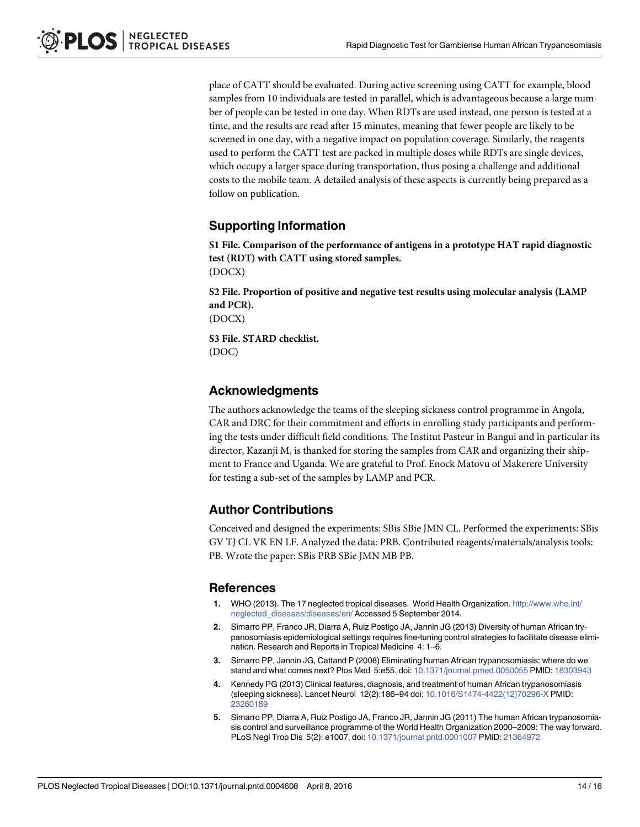<span id="page-13-0"></span>place of CATT should be evaluated. During active screening using CATT for example, blood samples from 10 individuals are tested in parallel, which is advantageous because a large number of people can be tested in one day. When RDTs are used instead, one person is tested at a time, and the results are read after 15 minutes, meaning that fewer people are likely to be screened in one day, with a negative impact on population coverage. Similarly, the reagents used to perform the CATT test are packed in multiple doses while RDTs are single devices, which occupy a larger space during transportation, thus posing a challenge and additional costs to the mobile team. A detailed analysis of these aspects is currently being prepared as a follow on publication.

## Supporting Information

[S1 File.](http://www.plosone.org/article/fetchSingleRepresentation.action?uri=info:doi/10.1371/journal.pntd.0004608.s001) Comparison of the performance of antigens in a prototype HAT rapid diagnostic test (RDT) with CATT using stored samples. (DOCX)

[S2 File.](http://www.plosone.org/article/fetchSingleRepresentation.action?uri=info:doi/10.1371/journal.pntd.0004608.s002) Proportion of positive and negative test results using molecular analysis (LAMP and PCR).

(DOCX)

[S3 File.](http://www.plosone.org/article/fetchSingleRepresentation.action?uri=info:doi/10.1371/journal.pntd.0004608.s003) STARD checklist. (DOC)

### Acknowledgments

The authors acknowledge the teams of the sleeping sickness control programme in Angola, CAR and DRC for their commitment and efforts in enrolling study participants and performing the tests under difficult field conditions. The Institut Pasteur in Bangui and in particular its director, Kazanji M, is thanked for storing the samples from CAR and organizing their shipment to France and Uganda. We are grateful to Prof. Enock Matovu of Makerere University for testing a sub-set of the samples by LAMP and PCR.

### Author Contributions

Conceived and designed the experiments: SBis SBie JMN CL. Performed the experiments: SBis GV TJ CL VK EN LF. Analyzed the data: PRB. Contributed reagents/materials/analysis tools: PB. Wrote the paper: SBis PRB SBie JMN MB PB.

#### References

- [1.](#page-1-0) WHO (2013). The 17 neglected tropical diseases. World Health Organization. [http://www.who.int/](http://www.who.int/neglected_diseases/diseases/en/) [neglected\\_diseases/diseases/en/](http://www.who.int/neglected_diseases/diseases/en/) Accessed 5 September 2014.
- [2.](#page-1-0) Simarro PP, Franco JR, Diarra A, Ruiz Postigo JA, Jannin JG (2013) Diversity of human African trypanosomiasis epidemiological settings requires fine-tuning control strategies to facilitate disease elimination. Research and Reports in Tropical Medicine 4: 1–6.
- [3.](#page-1-0) Simarro PP, Jannin JG, Cattand P (2008) Eliminating human African trypanosomiasis: where do we stand and what comes next? Plos Med 5:e55. doi: [10.1371/journal.pmed.0050055](http://dx.doi.org/10.1371/journal.pmed.0050055) PMID: [18303943](http://www.ncbi.nlm.nih.gov/pubmed/18303943)
- [4.](#page-1-0) Kennedy PG (2013) Clinical features, diagnosis, and treatment of human African trypanosomiasis (sleeping sickness). Lancet Neurol 12(2):186–94 doi: [10.1016/S1474-4422\(12\)70296-X](http://dx.doi.org/10.1016/S1474-4422(12)70296-X) PMID: [23260189](http://www.ncbi.nlm.nih.gov/pubmed/23260189)
- [5.](#page-2-0) Simarro PP, Diarra A, Ruiz Postigo JA, Franco JR, Jannin JG (2011) The human African trypanosomiasis control and surveillance programme of the World Health Organization 2000–2009: The way forward. PLoS Negl Trop Dis 5(2): e1007. doi: [10.1371/journal.pntd.0001007](http://dx.doi.org/10.1371/journal.pntd.0001007) PMID: [21364972](http://www.ncbi.nlm.nih.gov/pubmed/21364972)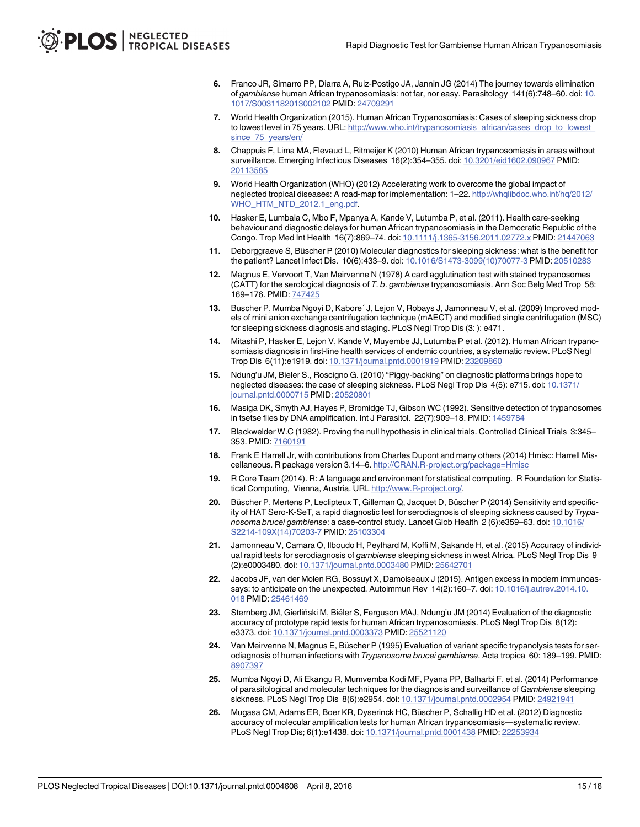- <span id="page-14-0"></span>[6.](#page-2-0) Franco JR, Simarro PP, Diarra A, Ruiz-Postigo JA, Jannin JG (2014) The journey towards elimination of gambiense human African trypanosomiasis: not far, nor easy. Parasitology 141(6):748–60. doi: [10.](http://dx.doi.org/10.1017/S0031182013002102) [1017/S0031182013002102](http://dx.doi.org/10.1017/S0031182013002102) PMID: [24709291](http://www.ncbi.nlm.nih.gov/pubmed/24709291)
- [7.](#page-2-0) World Health Organization (2015). Human African Trypanosomiasis: Cases of sleeping sickness drop to lowest level in 75 years. URL: [http://www.who.int/trypanosomiasis\\_african/cases\\_drop\\_to\\_lowest\\_](http://www.who.int/trypanosomiasis_african/cases_drop_to_lowest_since_75_years/en/) [since\\_75\\_years/en/](http://www.who.int/trypanosomiasis_african/cases_drop_to_lowest_since_75_years/en/)
- [8.](#page-2-0) Chappuis F, Lima MA, Flevaud L, Ritmeijer K (2010) Human African trypanosomiasis in areas without surveillance. Emerging Infectious Diseases 16(2):354–355. doi: [10.3201/eid1602.090967](http://dx.doi.org/10.3201/eid1602.090967) PMID: [20113585](http://www.ncbi.nlm.nih.gov/pubmed/20113585)
- [9.](#page-2-0) World Health Organization (WHO) (2012) Accelerating work to overcome the global impact of neglected tropical diseases: A road-map for implementation: 1–22. [http://whqlibdoc.who.int/hq/2012/](http://whqlibdoc.who.int/hq/2012/WHO_HTM_NTD_2012.1_eng.pdf) [WHO\\_HTM\\_NTD\\_2012.1\\_eng.pdf.](http://whqlibdoc.who.int/hq/2012/WHO_HTM_NTD_2012.1_eng.pdf)
- [10.](#page-2-0) Hasker E, Lumbala C, Mbo F, Mpanya A, Kande V, Lutumba P, et al. (2011). Health care-seeking behaviour and diagnostic delays for human African trypanosomiasis in the Democratic Republic of the Congo. Trop Med Int Health 16(7):869–74. doi: [10.1111/j.1365-3156.2011.02772.x](http://dx.doi.org/10.1111/j.1365-3156.2011.02772.x) PMID: [21447063](http://www.ncbi.nlm.nih.gov/pubmed/21447063)
- [11.](#page-2-0) Deborggraeve S, Büscher P (2010) Molecular diagnostics for sleeping sickness: what is the benefit for the patient? Lancet Infect Dis. 10(6):433–9. doi: [10.1016/S1473-3099\(10\)70077-3](http://dx.doi.org/10.1016/S1473-3099(10)70077-3) PMID: [20510283](http://www.ncbi.nlm.nih.gov/pubmed/20510283)
- [12.](#page-2-0) Magnus E, Vervoort T, Van Meirvenne N (1978) A card agglutination test with stained trypanosomes (CATT) for the serological diagnosis of T. b. gambiense trypanosomiasis. Ann Soc Belg Med Trop 58: 169–176. PMID: [747425](http://www.ncbi.nlm.nih.gov/pubmed/747425)
- [13.](#page-5-0) Buscher P, Mumba Ngoyi D, Kabore´ J, Lejon V, Robays J, Jamonneau V, et al. (2009) Improved models of mini anion exchange centrifugation technique (mAECT) and modified single centrifugation (MSC) for sleeping sickness diagnosis and staging. PLoS Negl Trop Dis (3: ): e471.
- [14.](#page-5-0) Mitashi P, Hasker E, Lejon V, Kande V, Muyembe JJ, Lutumba P et al. (2012). Human African trypanosomiasis diagnosis in first-line health services of endemic countries, a systematic review. PLoS Negl Trop Dis 6(11):e1919. doi: [10.1371/journal.pntd.0001919](http://dx.doi.org/10.1371/journal.pntd.0001919) PMID: [23209860](http://www.ncbi.nlm.nih.gov/pubmed/23209860)
- [15.](#page-5-0) Ndung'u JM, Bieler S., Roscigno G. (2010) "Piggy-backing" on diagnostic platforms brings hope to neglected diseases: the case of sleeping sickness. PLoS Negl Trop Dis 4(5): e715. doi: [10.1371/](http://dx.doi.org/10.1371/journal.pntd.0000715) [journal.pntd.0000715](http://dx.doi.org/10.1371/journal.pntd.0000715) PMID: [20520801](http://www.ncbi.nlm.nih.gov/pubmed/20520801)
- [16.](#page-5-0) Masiga DK, Smyth AJ, Hayes P, Bromidge TJ, Gibson WC (1992). Sensitive detection of trypanosomes in tsetse flies by DNA amplification. Int J Parasitol. 22(7):909-18. PMID: [1459784](http://www.ncbi.nlm.nih.gov/pubmed/1459784)
- [17.](#page-5-0) Blackwelder W.C (1982). Proving the null hypothesis in clinical trials. Controlled Clinical Trials 3:345– 353. PMID: [7160191](http://www.ncbi.nlm.nih.gov/pubmed/7160191)
- [18.](#page-6-0) Frank E Harrell Jr, with contributions from Charles Dupont and many others (2014) Hmisc: Harrell Miscellaneous. R package version 3.14-6. <http://CRAN.R-project.org/package=Hmisc>
- [19.](#page-6-0) R Core Team (2014). R: A language and environment for statistical computing. R Foundation for Statistical Computing, Vienna, Austria. URL <http://www.R-project.org/>.
- [20.](#page-8-0) Büscher P, Mertens P, Leclipteux T, Gilleman Q, Jacquet D, Büscher P (2014) Sensitivity and specificity of HAT Sero-K-SeT, a rapid diagnostic test for serodiagnosis of sleeping sickness caused by Trypa-nosoma brucei gambiense: a case-control study. Lancet Glob Health 2 (6):e359-63. doi: [10.1016/](http://dx.doi.org/10.1016/S2214-109X(14)70203-7) [S2214-109X\(14\)70203-7](http://dx.doi.org/10.1016/S2214-109X(14)70203-7) PMID: [25103304](http://www.ncbi.nlm.nih.gov/pubmed/25103304)
- [21.](#page-9-0) Jamonneau V, Camara O, Ilboudo H, Peylhard M, Koffi M, Sakande H, et al. (2015) Accuracy of individual rapid tests for serodiagnosis of gambiense sleeping sickness in west Africa. PLoS Negl Trop Dis 9 (2):e0003480. doi: [10.1371/journal.pntd.0003480](http://dx.doi.org/10.1371/journal.pntd.0003480) PMID: [25642701](http://www.ncbi.nlm.nih.gov/pubmed/25642701)
- Jacobs JF, van der Molen RG, Bossuyt X, Damoiseaux J (2015). Antigen excess in modern immunoassays: to anticipate on the unexpected. Autoimmun Rev 14(2):160–7. doi: [10.1016/j.autrev.2014.10.](http://dx.doi.org/10.1016/j.autrev.2014.10.018) [018](http://dx.doi.org/10.1016/j.autrev.2014.10.018) PMID: [25461469](http://www.ncbi.nlm.nih.gov/pubmed/25461469)
- [23.](#page-10-0) Sternberg JM, Gierliński M, Biéler S, Ferguson MAJ, Ndung'u JM (2014) Evaluation of the diagnostic accuracy of prototype rapid tests for human African trypanosomiasis. PLoS Negl Trop Dis 8(12): e3373. doi: [10.1371/journal.pntd.0003373](http://dx.doi.org/10.1371/journal.pntd.0003373) PMID: [25521120](http://www.ncbi.nlm.nih.gov/pubmed/25521120)
- [24.](#page-12-0) Van Meirvenne N, Magnus E, Büscher P (1995) Evaluation of variant specific trypanolysis tests for serodiagnosis of human infections with Trypanosoma brucei gambiense. Acta tropica 60: 189–199. PMID: [8907397](http://www.ncbi.nlm.nih.gov/pubmed/8907397)
- [25.](#page-12-0) Mumba Ngoyi D, Ali Ekangu R, Mumvemba Kodi MF, Pyana PP, Balharbi F, et al. (2014) Performance of parasitological and molecular techniques for the diagnosis and surveillance of Gambiense sleeping sickness. PLoS Negl Trop Dis 8(6):e2954. doi: [10.1371/journal.pntd.0002954](http://dx.doi.org/10.1371/journal.pntd.0002954) PMID: [24921941](http://www.ncbi.nlm.nih.gov/pubmed/24921941)
- [26.](#page-12-0) Mugasa CM, Adams ER, Boer KR, Dyserinck HC, Büscher P, Schallig HD et al. (2012) Diagnostic accuracy of molecular amplification tests for human African trypanosomiasis—systematic review. PLoS Negl Trop Dis; 6(1):e1438. doi: [10.1371/journal.pntd.0001438](http://dx.doi.org/10.1371/journal.pntd.0001438) PMID: [22253934](http://www.ncbi.nlm.nih.gov/pubmed/22253934)